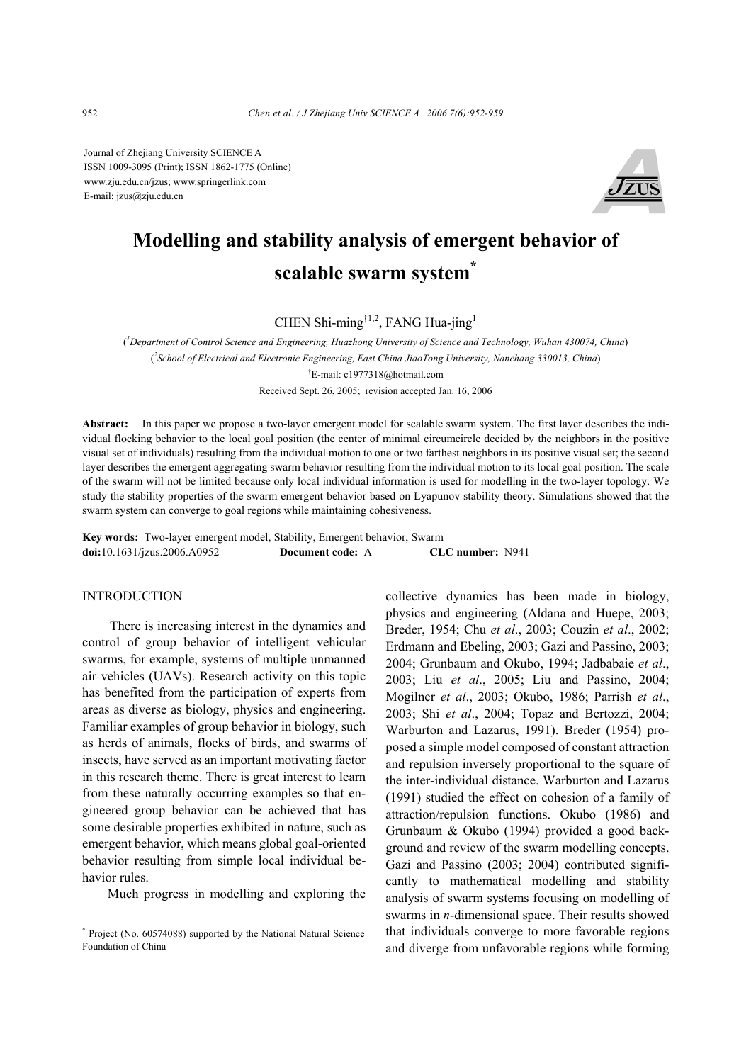Journal of Zhejiang University SCIENCE A ISSN 1009-3095 (Print); ISSN 1862-1775 (Online) www.zju.edu.cn/jzus; www.springerlink.com E-mail: jzus@zju.edu.cn



# **Modelling and stability analysis of emergent behavior of scalable swarm system\***

CHEN Shi-ming†1,2, FANG Hua-jing1

( *1 Department of Control Science and Engineering, Huazhong University of Science and Technology, Wuhan 430074, China*) ( *2 School of Electrical and Electronic Engineering, East China JiaoTong University, Nanchang 330013, China*) † E-mail: c1977318@hotmail.com

Received Sept. 26, 2005; revision accepted Jan. 16, 2006

**Abstract:** In this paper we propose a two-layer emergent model for scalable swarm system. The first layer describes the individual flocking behavior to the local goal position (the center of minimal circumcircle decided by the neighbors in the positive visual set of individuals) resulting from the individual motion to one or two farthest neighbors in its positive visual set; the second layer describes the emergent aggregating swarm behavior resulting from the individual motion to its local goal position. The scale of the swarm will not be limited because only local individual information is used for modelling in the two-layer topology. We study the stability properties of the swarm emergent behavior based on Lyapunov stability theory. Simulations showed that the swarm system can converge to goal regions while maintaining cohesiveness.

**Key words:** Two-layer emergent model, Stability, Emergent behavior, Swarm **doi:**10.1631/jzus.2006.A0952 **Document code:** A **CLC number:** N941

### INTRODUCTION

There is increasing interest in the dynamics and control of group behavior of intelligent vehicular swarms, for example, systems of multiple unmanned air vehicles (UAVs). Research activity on this topic has benefited from the participation of experts from areas as diverse as biology, physics and engineering. Familiar examples of group behavior in biology, such as herds of animals, flocks of birds, and swarms of insects, have served as an important motivating factor in this research theme. There is great interest to learn from these naturally occurring examples so that engineered group behavior can be achieved that has some desirable properties exhibited in nature, such as emergent behavior, which means global goal-oriented behavior resulting from simple local individual behavior rules.

Much progress in modelling and exploring the

collective dynamics has been made in biology, physics and engineering (Aldana and Huepe, 2003; Breder, 1954; Chu *et al*., 2003; Couzin *et al*., 2002; Erdmann and Ebeling, 2003; Gazi and Passino, 2003; 2004; Grunbaum and Okubo, 1994; Jadbabaie *et al*., 2003; Liu *et al*., 2005; Liu and Passino, 2004; Mogilner *et al*., 2003; Okubo, 1986; Parrish *et al*., 2003; Shi *et al*., 2004; Topaz and Bertozzi, 2004; Warburton and Lazarus, 1991). Breder (1954) proposed a simple model composed of constant attraction and repulsion inversely proportional to the square of the inter-individual distance. Warburton and Lazarus (1991) studied the effect on cohesion of a family of attraction/repulsion functions. Okubo (1986) and Grunbaum & Okubo (1994) provided a good background and review of the swarm modelling concepts. Gazi and Passino (2003; 2004) contributed significantly to mathematical modelling and stability analysis of swarm systems focusing on modelling of swarms in *n*-dimensional space. Their results showed that individuals converge to more favorable regions and diverge from unfavorable regions while forming

<sup>\*</sup> Project (No. 60574088) supported by the National Natural Science Foundation of China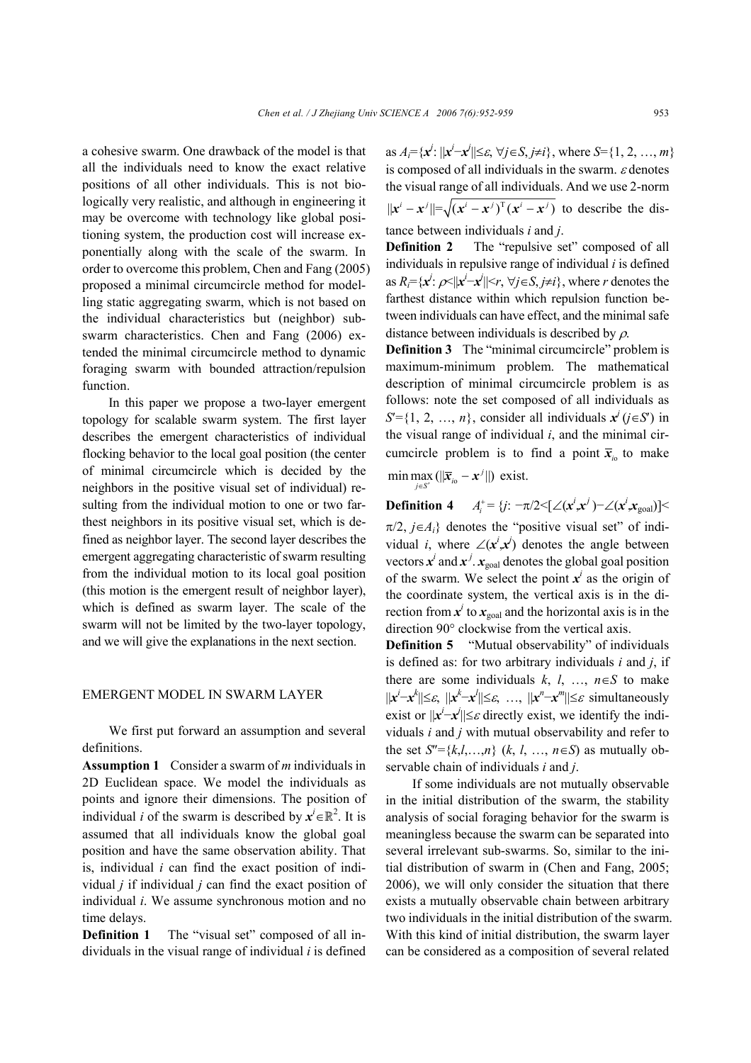a cohesive swarm. One drawback of the model is that all the individuals need to know the exact relative positions of all other individuals. This is not biologically very realistic, and although in engineering it may be overcome with technology like global positioning system, the production cost will increase exponentially along with the scale of the swarm. In order to overcome this problem, Chen and Fang (2005) proposed a minimal circumcircle method for modelling static aggregating swarm, which is not based on the individual characteristics but (neighbor) subswarm characteristics. Chen and Fang (2006) extended the minimal circumcircle method to dynamic foraging swarm with bounded attraction/repulsion function.

In this paper we propose a two-layer emergent topology for scalable swarm system. The first layer describes the emergent characteristics of individual flocking behavior to the local goal position (the center of minimal circumcircle which is decided by the neighbors in the positive visual set of individual) resulting from the individual motion to one or two farthest neighbors in its positive visual set, which is defined as neighbor layer. The second layer describes the emergent aggregating characteristic of swarm resulting from the individual motion to its local goal position (this motion is the emergent result of neighbor layer), which is defined as swarm layer. The scale of the swarm will not be limited by the two-layer topology, and we will give the explanations in the next section.

## EMERGENT MODEL IN SWARM LAYER

We first put forward an assumption and several definitions.

**Assumption 1** Consider a swarm of *m* individuals in 2D Euclidean space. We model the individuals as points and ignore their dimensions. The position of individual *i* of the swarm is described by  $x^{i} \in \mathbb{R}^{2}$ . It is assumed that all individuals know the global goal position and have the same observation ability. That is, individual *i* can find the exact position of individual *j* if individual *j* can find the exact position of individual *i*. We assume synchronous motion and no time delays.

**Definition 1** The "visual set" composed of all individuals in the visual range of individual *i* is defined

as  $A_i = \{x^i : ||x^i - x^i|| \le \varepsilon, \forall j \in S, j \neq i\}$ , where  $S = \{1, 2, ..., m\}$ is composed of all individuals in the swarm.  $\varepsilon$  denotes the visual range of all individuals. And we use 2-norm  $||x^i - x^j|| = \sqrt{(x^i - x^j)^T (x^i - x^j)}$  to describe the distance between individuals *i* and *j*.

**Definition 2** The "repulsive set" composed of all individuals in repulsive range of individual *i* is defined as  $R_i = \{x^i : \rho \le ||x^i - x^i|| \le r, \ \forall j \in S, j \neq i\}$ , where *r* denotes the farthest distance within which repulsion function between individuals can have effect, and the minimal safe distance between individuals is described by  $\rho$ .

**Definition 3** The "minimal circumcircle" problem is maximum-minimum problem. The mathematical description of minimal circumcircle problem is as follows: note the set composed of all individuals as  $S' = \{1, 2, ..., n\}$ , consider all individuals  $x^{j}$  (*j*∈*S*<sup>'</sup>) in the visual range of individual *i*, and the minimal circumcircle problem is to find a point  $\bar{x}_i$  to make  $\min \max_{j \in S'} (||\overline{x}_{i} - x^j||)$  exist.

**Definition 4**  $A_i^+ = \{ j : -\pi/2 \leq [\angle(x^i, x^j) - \angle(x^i, x_{\text{goal}})] \leq$  $\pi/2$ ,  $j \in A_i$ } denotes the "positive visual set" of individual *i*, where  $\angle(x^i, x^j)$  denotes the angle between vectors  $x^i$  and  $x^j$ .  $x_{\text{goal}}$  denotes the global goal position of the swarm. We select the point  $x^i$  as the origin of the coordinate system, the vertical axis is in the direction from  $x^i$  to  $x_{\text{goal}}$  and the horizontal axis is in the direction 90° clockwise from the vertical axis.

**Definition 5** "Mutual observability" of individuals is defined as: for two arbitrary individuals *i* and *j*, if there are some individuals  $k, l, ..., n \in S$  to make  $||x^i - x^k|| \leq \varepsilon$ ,  $||x^k - x^l|| \leq \varepsilon$ , ...,  $||x^n - x^m|| \leq \varepsilon$  simultaneously exist or  $||x^i-x^i|| \leq \varepsilon$  directly exist, we identify the individuals *i* and *j* with mutual observability and refer to the set  $S'' = \{k, l, ..., n\}$  (*k*, *l*, …,  $n \in S$ ) as mutually observable chain of individuals *i* and *j*.

If some individuals are not mutually observable in the initial distribution of the swarm, the stability analysis of social foraging behavior for the swarm is meaningless because the swarm can be separated into several irrelevant sub-swarms. So, similar to the initial distribution of swarm in (Chen and Fang, 2005; 2006), we will only consider the situation that there exists a mutually observable chain between arbitrary two individuals in the initial distribution of the swarm. With this kind of initial distribution, the swarm layer can be considered as a composition of several related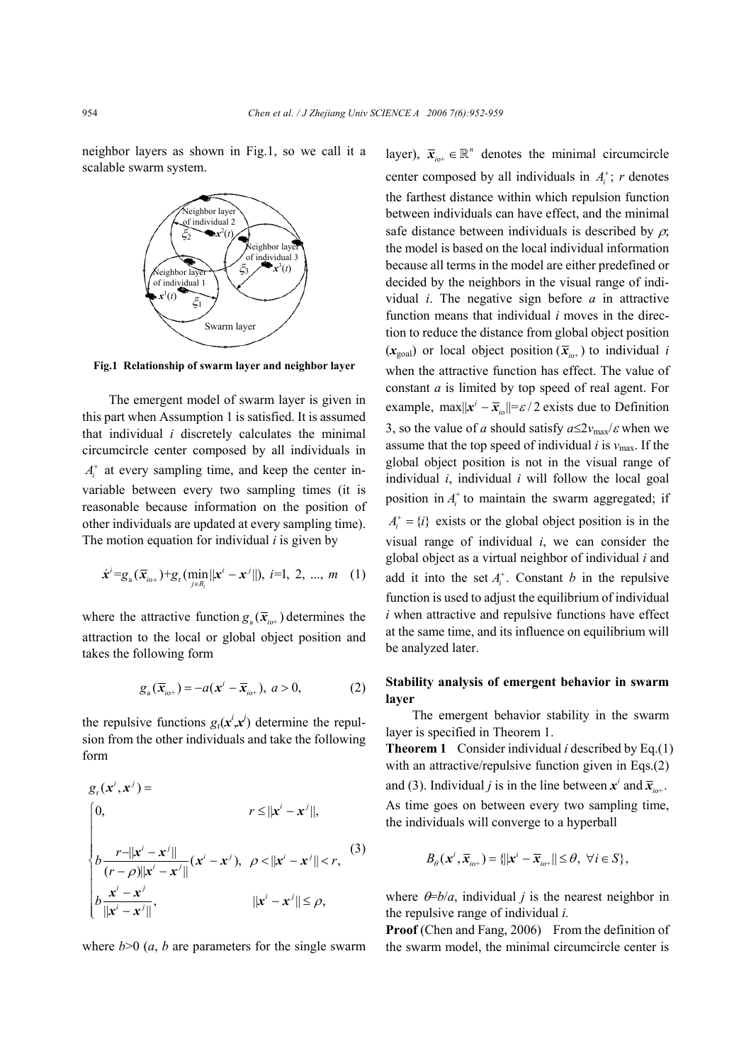neighbor layers as shown in Fig.1, so we call it a scalable swarm system.



**Fig.1 Relationship of swarm layer and neighbor layer**

The emergent model of swarm layer is given in this part when Assumption 1 is satisfied. It is assumed that individual *i* discretely calculates the minimal circumcircle center composed by all individuals in  $A_i^{\dagger}$  at every sampling time, and keep the center invariable between every two sampling times (it is reasonable because information on the position of other individuals are updated at every sampling time). The motion equation for individual *i* is given by

$$
\dot{\mathbf{x}}^{i} = g_{a}(\overline{\mathbf{x}}_{i0+}) + g_{r}(\min_{j \in R_{i}} ||\mathbf{x}^{i} - \mathbf{x}^{j}||), \quad i=1, 2, ..., m \quad (1)
$$

where the attractive function  $g_a(\bar{x}_{i+1})$  determines the attraction to the local or global object position and takes the following form

$$
g_{a}(\overline{\mathbf{x}}_{i\circ+})=-a(\mathbf{x}^{i}-\overline{\mathbf{x}}_{i\circ+}),\ a>0,\tag{2}
$$

the repulsive functions  $g_r(x^i, x^j)$  determine the repulsion from the other individuals and take the following form

$$
g_r(x^i, x^j) =
$$
\n
$$
\begin{cases}\n0, & r \le ||x^i - x^j||, \\
b \frac{r - ||x^i - x^j||}{(r - \rho) ||x^i - x^j||} (x^i - x^j), & \rho < ||x^i - x^j|| < r, \\
b \frac{x^i - x^j}{||x^i - x^j||}, & ||x^i - x^j|| \le \rho,\n\end{cases}
$$
\n(3)

where  $b>0$  (*a*, *b* are parameters for the single swarm

layer),  $\bar{x}_{i} \in \mathbb{R}^n$  denotes the minimal circumcircle center composed by all individuals in  $A_i^+$ ; *r* denotes the farthest distance within which repulsion function between individuals can have effect, and the minimal safe distance between individuals is described by  $\rho$ ; the model is based on the local individual information because all terms in the model are either predefined or decided by the neighbors in the visual range of individual *i*. The negative sign before *a* in attractive function means that individual *i* moves in the direction to reduce the distance from global object position  $(x_{\text{goal}})$  or local object position  $(\bar{x}_{i}^{\prime})$  to individual *i* when the attractive function has effect. The value of constant *a* is limited by top speed of real agent. For example,  $\max ||x^i - \overline{x}_{i0}|| = \varepsilon / 2$  exists due to Definition 3, so the value of *a* should satisfy  $a \leq 2v_{\text{max}}/ \varepsilon$  when we assume that the top speed of individual  $i$  is  $v_{\text{max}}$ . If the global object position is not in the visual range of individual *i*, individual *i* will follow the local goal position in  $A_i^+$  to maintain the swarm aggregated; if  $A_i^+ = \{i\}$  exists or the global object position is in the visual range of individual *i*, we can consider the global object as a virtual neighbor of individual *i* and add it into the set  $A_i^*$ . Constant *b* in the repulsive function is used to adjust the equilibrium of individual *i* when attractive and repulsive functions have effect at the same time, and its influence on equilibrium will be analyzed later.

## **Stability analysis of emergent behavior in swarm layer**

The emergent behavior stability in the swarm layer is specified in Theorem 1.

**Theorem 1** Consider individual *i* described by Eq.(1) with an attractive/repulsive function given in Eqs.(2) and (3). Individual *j* is in the line between  $x^i$  and  $\overline{x}_{i+1}$ . As time goes on between every two sampling time, the individuals will converge to a hyperball

$$
B_{\theta}(\mathbf{x}^i,\overline{\mathbf{x}}_{i\theta+})=\{\|\mathbf{x}^i-\overline{\mathbf{x}}_{i\theta+}\|\leq\theta,\ \forall i\in S\},\
$$

where  $\theta = b/a$ , individual *j* is the nearest neighbor in the repulsive range of individual *i.*

**Proof** (Chen and Fang, 2006) From the definition of the swarm model, the minimal circumcircle center is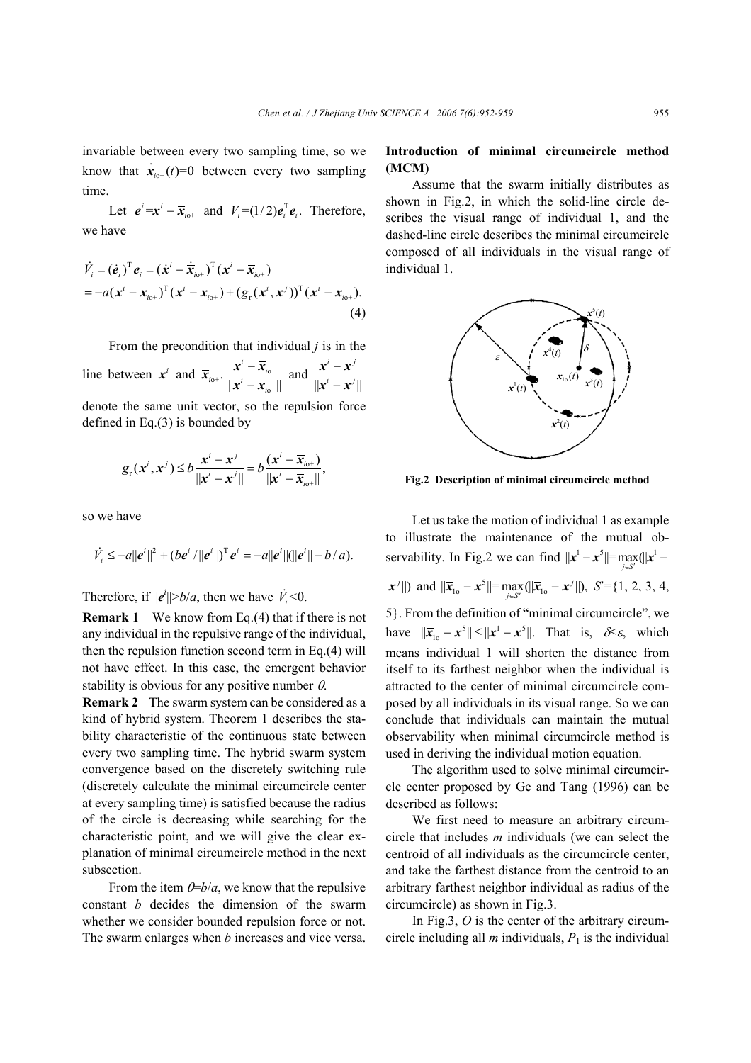invariable between every two sampling time, so we know that  $\dot{\overline{x}}_{i} ( t ) = 0$  between every two sampling time.

Let  $e^i = x^i - \overline{x}_{i_0+}$  and  $V_i = (1/2)e_i^T e_i$ . Therefore, we have

$$
\dot{V}_i = (\dot{\mathbf{e}}_i)^{\mathrm{T}} \mathbf{e}_i = (\dot{\mathbf{x}}^i - \dot{\overline{\mathbf{x}}}_{i0^+})^{\mathrm{T}} (\mathbf{x}^i - \overline{\mathbf{x}}_{i0^+})
$$
\n
$$
= -a(\mathbf{x}^i - \overline{\mathbf{x}}_{i0^+})^{\mathrm{T}} (\mathbf{x}^i - \overline{\mathbf{x}}_{i0^+}) + (g_r(\mathbf{x}^i, \mathbf{x}^j))^{\mathrm{T}} (\mathbf{x}^i - \overline{\mathbf{x}}_{i0^+}).
$$
\n(4)

From the precondition that individual *j* is in the line between  $x^i$  and  $\overline{x}_{i_0+}$ .  $\frac{x-x_{i_0+}}{x}$  $\|\pmb{x}^i-\overline{\pmb{x}}_{i\text{o}+}\|$  $\frac{i}{i}$  -  $\overline{\mathbf{x}}_i$ − −  $x^i-\overline{x}$  $x^i-\overline{x}$  and  $\| \boldsymbol{x}^i - \boldsymbol{x}^j \|$ *i j i j* − −  $x^i - x$  $x^i - x$ denote the same unit vector, so the repulsion force defined in Eq.(3) is bounded by

$$
g_{\mathrm{r}}(\mathbf{x}^i, \mathbf{x}^j) \leq b \frac{\mathbf{x}^i - \mathbf{x}^j}{\|\mathbf{x}^i - \mathbf{x}^j\|} = b \frac{(\mathbf{x}^i - \overline{\mathbf{x}}_{\mathrm{io+}})}{\|\mathbf{x}^i - \overline{\mathbf{x}}_{\mathrm{io+}}\|},
$$

so we have

$$
\dot{V}_i \leq -a||e^i||^2 + (be^i/||e^i||)^T e^i = -a||e^i||(||e^i|| - b/a).
$$

Therefore, if  $||e^i|| > b/a$ , then we have  $\dot{V}_i < 0$ .

**Remark 1** We know from Eq.(4) that if there is not any individual in the repulsive range of the individual, then the repulsion function second term in Eq.(4) will not have effect. In this case, the emergent behavior stability is obvious for any positive number  $\theta$ .

**Remark 2** The swarm system can be considered as a kind of hybrid system. Theorem 1 describes the stability characteristic of the continuous state between every two sampling time. The hybrid swarm system convergence based on the discretely switching rule (discretely calculate the minimal circumcircle center at every sampling time) is satisfied because the radius of the circle is decreasing while searching for the characteristic point, and we will give the clear explanation of minimal circumcircle method in the next subsection.

From the item  $\theta = b/a$ , we know that the repulsive constant *b* decides the dimension of the swarm whether we consider bounded repulsion force or not. The swarm enlarges when *b* increases and vice versa.

## **Introduction of minimal circumcircle method (MCM)**

Assume that the swarm initially distributes as shown in Fig.2, in which the solid-line circle describes the visual range of individual 1, and the dashed-line circle describes the minimal circumcircle composed of all individuals in the visual range of individual 1.



**Fig.2 Description of minimal circumcircle method**

Let us take the motion of individual 1 as example to illustrate the maintenance of the mutual observability. In Fig.2 we can find  $||x^1 - x^5|| = \max_{x \in \mathcal{X}} (||x^1 - x^2||)^2$  $||x^j||$  and  $||\overline{x}_{1o} - x^5|| = \max_{j \in S'} (||\overline{x}_{1o} - x^j||), S' = \{1, 2, 3, 4, 4\}$ 5}. From the definition of "minimal circumcircle", we have  $\|\overline{x}_{10} - x^5\| \leq \|x^1 - x^5\|$ . That is,  $\delta \leq \varepsilon$ , which means individual 1 will shorten the distance from itself to its farthest neighbor when the individual is attracted to the center of minimal circumcircle composed by all individuals in its visual range. So we can conclude that individuals can maintain the mutual observability when minimal circumcircle method is used in deriving the individual motion equation.

The algorithm used to solve minimal circumcircle center proposed by Ge and Tang (1996) can be described as follows:

We first need to measure an arbitrary circumcircle that includes *m* individuals (we can select the centroid of all individuals as the circumcircle center, and take the farthest distance from the centroid to an arbitrary farthest neighbor individual as radius of the circumcircle) as shown in Fig.3.

In Fig.3, *O* is the center of the arbitrary circumcircle including all  $m$  individuals,  $P_1$  is the individual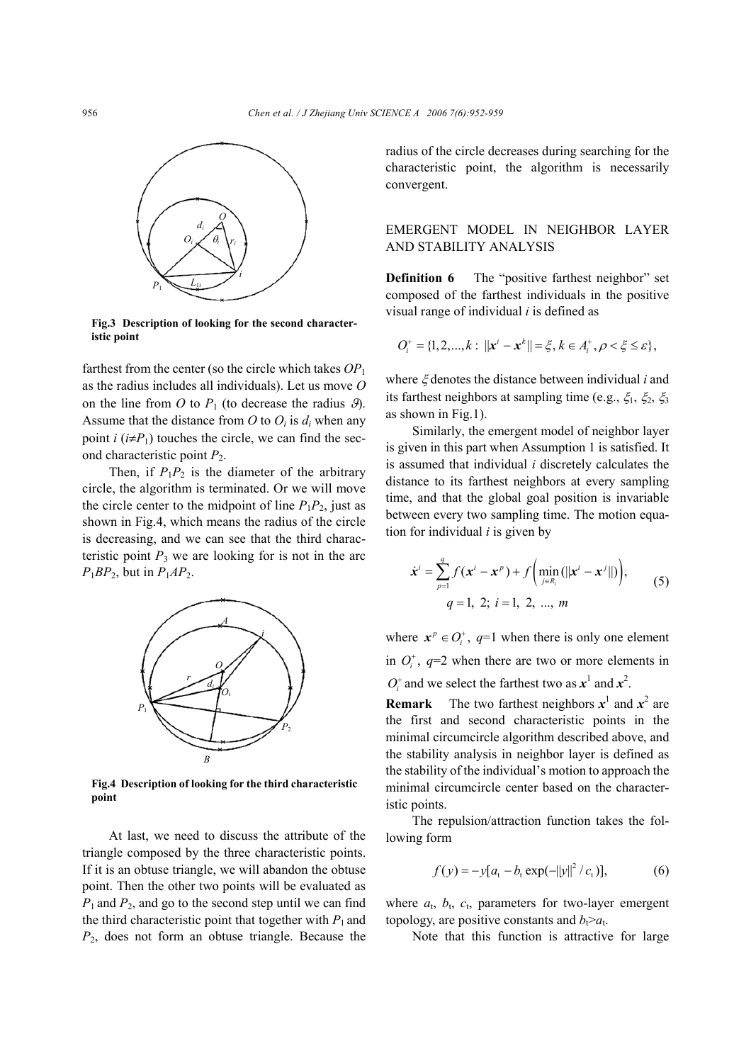

**Fig.3 Description of looking for the second characteristic point** 

farthest from the center (so the circle which takes *OP*<sup>1</sup> as the radius includes all individuals). Let us move *O* on the line from *O* to  $P_1$  (to decrease the radius  $\mathcal{G}$ ). Assume that the distance from  $O$  to  $O_i$  is  $d_i$  when any point *i*  $(i \neq P_1)$  touches the circle, we can find the second characteristic point *P*2.

Then, if  $P_1P_2$  is the diameter of the arbitrary circle, the algorithm is terminated. Or we will move the circle center to the midpoint of line  $P_1P_2$ , just as shown in Fig.4, which means the radius of the circle is decreasing, and we can see that the third characteristic point  $P_3$  we are looking for is not in the arc  $P_1BP_2$ , but in  $P_1AP_2$ .



**Fig.4 Description of looking for the third characteristic point** 

At last, we need to discuss the attribute of the triangle composed by the three characteristic points. If it is an obtuse triangle, we will abandon the obtuse point. Then the other two points will be evaluated as *P*1 and *P*2, and go to the second step until we can find the third characteristic point that together with  $P_1$  and *P*2, does not form an obtuse triangle. Because the

radius of the circle decreases during searching for the characteristic point, the algorithm is necessarily convergent.

# EMERGENT MODEL IN NEIGHBOR LAYER AND STABILITY ANALYSIS

**Definition 6** The "positive farthest neighbor" set composed of the farthest individuals in the positive visual range of individual *i* is defined as

$$
O_i^+ = \{1, 2, ..., k: ||x^i - x^k|| = \xi, k \in A_i^+, \rho < \xi \le \varepsilon\},\
$$

where ξ denotes the distance between individual *i* and its farthest neighbors at sampling time (e.g.,  $\xi_1$ ,  $\xi_2$ ,  $\xi_3$ as shown in Fig.1).

Similarly, the emergent model of neighbor layer is given in this part when Assumption 1 is satisfied. It is assumed that individual *i* discretely calculates the distance to its farthest neighbors at every sampling time, and that the global goal position is invariable between every two sampling time. The motion equation for individual *i* is given by

$$
\dot{\mathbf{x}}^{i} = \sum_{p=1}^{q} f(\mathbf{x}^{i} - \mathbf{x}^{p}) + f\left(\min_{j \in R_{i}}(||\mathbf{x}^{i} - \mathbf{x}^{j}||)\right),
$$
  
q = 1, 2; i = 1, 2, ..., m (5)

where  $x^p \in O_i^+$ ,  $q=1$  when there is only one element in  $O_i^*$ ,  $q=2$  when there are two or more elements in  $O_i^+$  and we select the farthest two as  $x^1$  and  $x^2$ .

**Remark** The two farthest neighbors  $x^1$  and  $x^2$  are the first and second characteristic points in the minimal circumcircle algorithm described above, and the stability analysis in neighbor layer is defined as the stability of the individual's motion to approach the minimal circumcircle center based on the characteristic points.

The repulsion/attraction function takes the following form

$$
f(y) = -y[a_t - b_t \exp(-||y||^2 / c_t)],
$$
 (6)

where  $a_t$ ,  $b_t$ ,  $c_t$ , parameters for two-layer emergent topology, are positive constants and  $b_1>a_1$ .

Note that this function is attractive for large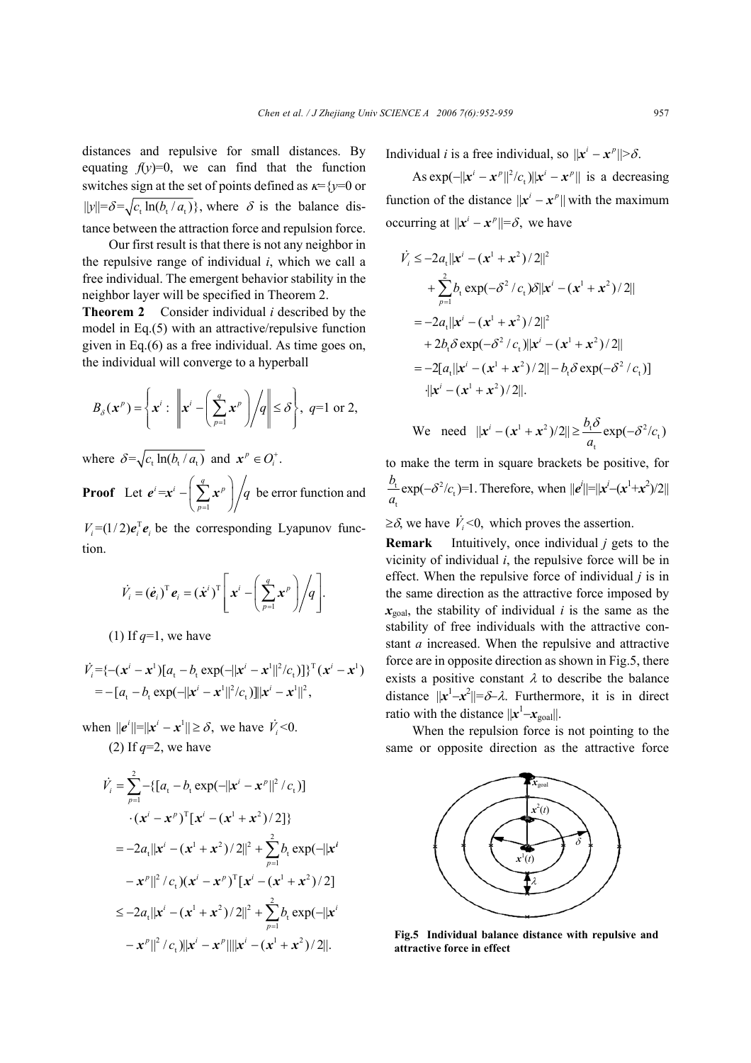distances and repulsive for small distances. By equating  $f(y)=0$ , we can find that the function switches sign at the set of points defined as κ={*y*=0 or  $||y|| = \delta = \sqrt{c_1 \ln(b_1/a_1)}$ , where  $\delta$  is the balance distance between the attraction force and repulsion force.

Our first result is that there is not any neighbor in the repulsive range of individual *i*, which we call a free individual. The emergent behavior stability in the neighbor layer will be specified in Theorem 2.

**Theorem 2** Consider individual *i* described by the model in Eq.(5) with an attractive/repulsive function given in Eq.(6) as a free individual. As time goes on, the individual will converge to a hyperball

$$
B_{\delta}(\mathbf{x}^p) = \left\{ \mathbf{x}^i : \left\| \mathbf{x}^i - \left( \sum_{p=1}^q \mathbf{x}^p \right) \middle/ q \right\| \leq \delta \right\}, q=1 \text{ or } 2,
$$

where  $\delta = \sqrt{c_t \ln(b_t/a_t)}$  and  $\mathbf{x}^p \in O_i^+$ .

**Proof** Let  $e^{i} = x^{i} - \left(\sum_{p=1}^{q} x^{p}\right)$ *p q* =  $e^{t} = x^{i} - \left(\sum_{p=1}^{q} x^{p}\right) / q$  be error function and

 $V_i = (1/2)e_i^T e_i$  be the corresponding Lyapunov function.

$$
\dot{V}_i = (\dot{\boldsymbol{e}}_i)^{\mathrm{T}} \boldsymbol{e}_i = (\dot{\boldsymbol{x}}^i)^{\mathrm{T}} \left[ \boldsymbol{x}^i - \left( \sum_{p=1}^q \boldsymbol{x}^p \right) / q \right].
$$

(1) If  $q=1$ , we have

$$
\dot{V}_i = \{-(x^i - x^1)[a_t - b_t \exp(-||x^i - x^1||^2/c_t)]\}^{T} (x^i - x^1)
$$
  
= -[a\_t - b\_t \exp(-||x^i - x^1||^2/c\_t)]||x^i - x^1||^2,

when  $||e^{i}|| = ||x^{i} - x^{i}|| \ge \delta$ , we have  $\dot{V}_{i} < 0$ . (2) If *q*=2, we have

$$
\dot{V}_i = \sum_{p=1}^2 - \{ [a_t - b_t \exp(-||x^i - x^p||^2 / c_t)]
$$
  
\n
$$
\cdot (x^i - x^p)^T [x^i - (x^1 + x^2) / 2] \}
$$
  
\n
$$
= -2a_t ||x^i - (x^1 + x^2) / 2||^2 + \sum_{p=1}^2 b_t \exp(-||x^i - x^p||^2 / c_t)(x^i - x^p)^T [x^i - (x^1 + x^2) / 2]
$$
  
\n
$$
\le -2a_t ||x^i - (x^1 + x^2) / 2||^2 + \sum_{p=1}^2 b_t \exp(-||x^i - x^p||^2 / c_t) ||x^i - x^p|| ||x^i - (x^1 + x^2) / 2||.
$$

Individual *i* is a free individual, so  $||x^i - x^{\rho}|| > \delta$ .

As  $\exp(-||x^i - x^p||^2/c_t)||x^i - x^p||$  is a decreasing function of the distance  $||x^i - x^p||$  with the maximum occurring at  $||x^i - x^p|| = \delta$ , we have

$$
\dot{V}_i \le -2a_t ||x^i - (x^1 + x^2)/2||^2
$$
\n
$$
+ \sum_{p=1}^2 b_t \exp(-\delta^2/c_t) \delta ||x^i - (x^1 + x^2)/2||
$$
\n
$$
= -2a_t ||x^i - (x^1 + x^2)/2||^2
$$
\n
$$
+ 2b_t \delta \exp(-\delta^2/c_t) ||x^i - (x^1 + x^2)/2||
$$
\n
$$
= -2[a_t ||x^i - (x^1 + x^2)/2|| - b_t \delta \exp(-\delta^2/c_t)]
$$
\n
$$
||x^i - (x^1 + x^2)/2||.
$$

We need 
$$
||x^i - (x^1 + x^2)/2|| \ge \frac{b_t \delta}{a_t} \exp(-\delta^2/c_t)
$$

to make the term in square brackets be positive, for  $\frac{t}{c}$  exp( $-\delta^2/c_t$ t  $\frac{b_i}{a_i} \exp(-\delta^2/c_t) = 1$ . Therefore, when  $||e^i|| = ||x^i - (x^1 + x^2)/2||$ 

 $\geq \delta$ , we have  $\dot{V}_i < 0$ , which proves the assertion.

**Remark** Intuitively, once individual *j* gets to the vicinity of individual *i*, the repulsive force will be in effect. When the repulsive force of individual *j* is in the same direction as the attractive force imposed by  $x_{goal}$ , the stability of individual *i* is the same as the stability of free individuals with the attractive constant *a* increased. When the repulsive and attractive force are in opposite direction as shown in Fig.5, there exists a positive constant  $\lambda$  to describe the balance distance  $||x^1-x^2||=\delta-\lambda$ . Furthermore, it is in direct ratio with the distance  $||x^1 - x_{\text{goal}}||$ .

When the repulsion force is not pointing to the same or opposite direction as the attractive force



**Fig.5 Individual balance distance with repulsive and attractive force in effect**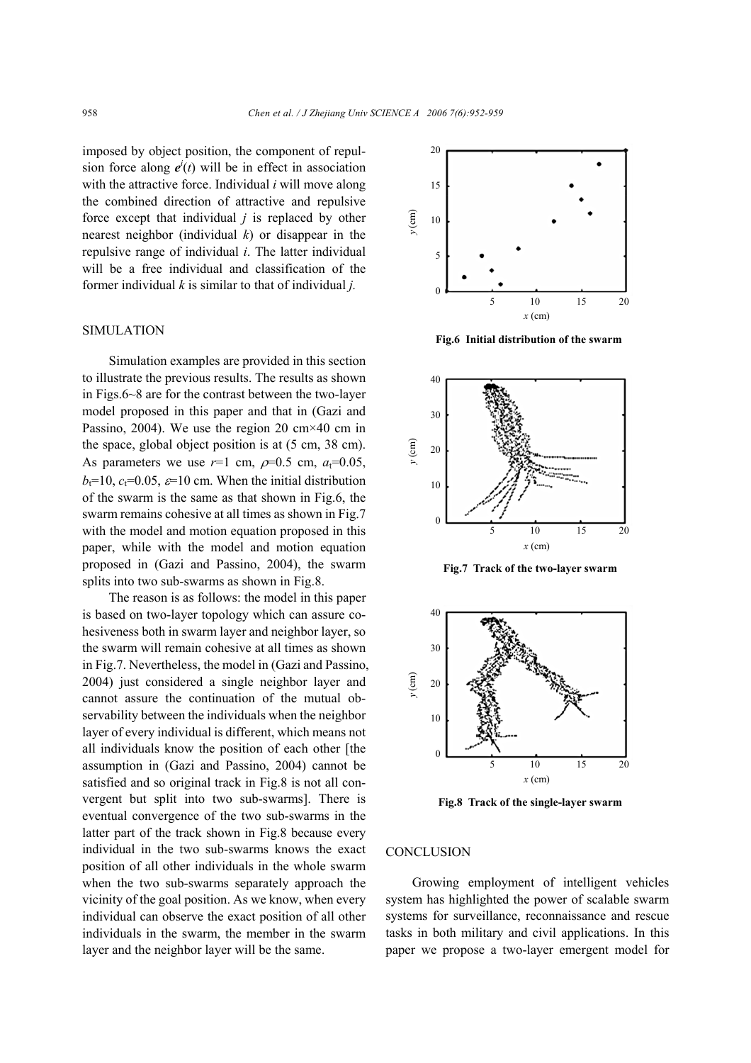imposed by object position, the component of repulsion force along  $e^{i}(t)$  will be in effect in association with the attractive force. Individual *i* will move along the combined direction of attractive and repulsive force except that individual *j* is replaced by other nearest neighbor (individual *k*) or disappear in the repulsive range of individual *i*. The latter individual will be a free individual and classification of the former individual *k* is similar to that of individual *j.*

#### SIMULATION

Simulation examples are provided in this section to illustrate the previous results. The results as shown in Figs.6~8 are for the contrast between the two-layer model proposed in this paper and that in (Gazi and Passino, 2004). We use the region 20  $\text{cm} \times 40 \text{ cm}$  in the space, global object position is at (5 cm, 38 cm). As parameters we use  $r=1$  cm,  $\rho=0.5$  cm,  $a_t=0.05$ ,  $b_t=10$ ,  $c_t=0.05$ ,  $\varepsilon=10$  cm. When the initial distribution of the swarm is the same as that shown in Fig.6, the swarm remains cohesive at all times as shown in Fig.7 with the model and motion equation proposed in this paper, while with the model and motion equation proposed in (Gazi and Passino, 2004), the swarm splits into two sub-swarms as shown in Fig.8.

The reason is as follows: the model in this paper is based on two-layer topology which can assure cohesiveness both in swarm layer and neighbor layer, so the swarm will remain cohesive at all times as shown in Fig.7. Nevertheless, the model in (Gazi and Passino, 2004) just considered a single neighbor layer and cannot assure the continuation of the mutual observability between the individuals when the neighbor layer of every individual is different, which means not all individuals know the position of each other [the assumption in (Gazi and Passino, 2004) cannot be satisfied and so original track in Fig.8 is not all convergent but split into two sub-swarms]. There is eventual convergence of the two sub-swarms in the latter part of the track shown in Fig.8 because every individual in the two sub-swarms knows the exact position of all other individuals in the whole swarm when the two sub-swarms separately approach the vicinity of the goal position. As we know, when every individual can observe the exact position of all other individuals in the swarm, the member in the swarm layer and the neighbor layer will be the same.



**Fig.6 Initial distribution of the swarm** 



**Fig.7 Track of the two-layer swarm** 



**Fig.8 Track of the single-layer swarm** 

## **CONCLUSION**

Growing employment of intelligent vehicles system has highlighted the power of scalable swarm systems for surveillance, reconnaissance and rescue tasks in both military and civil applications. In this paper we propose a two-layer emergent model for